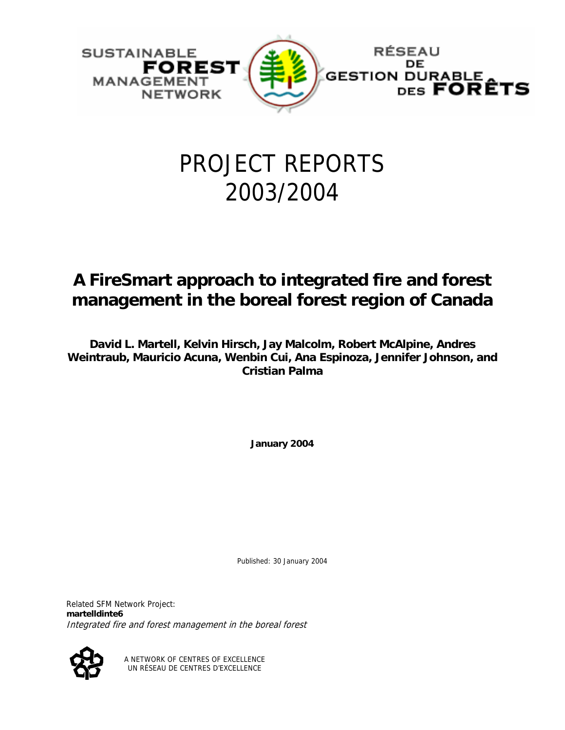

# PROJECT REPORTS 2003/2004

# **A FireSmart approach to integrated fire and forest management in the boreal forest region of Canada**

**David L. Martell, Kelvin Hirsch, Jay Malcolm, Robert McAlpine, Andres Weintraub, Mauricio Acuna, Wenbin Cui, Ana Espinoza, Jennifer Johnson, and Cristian Palma** 

**January 2004** 

Published: 30 January 2004

Related SFM Network Project: **martelldinte6** Integrated fire and forest management in the boreal forest



A NETWORK OF CENTRES OF EXCELLENCE UN RÉSEAU DE CENTRES D'EXCELLENCE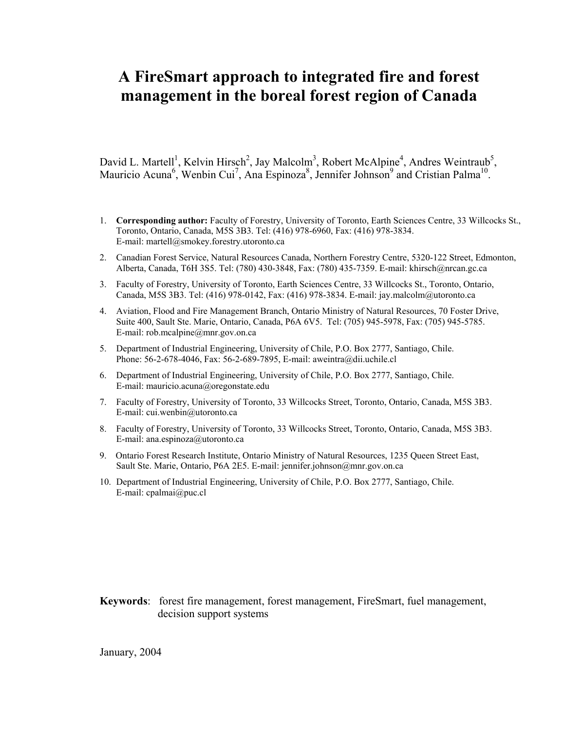# **A FireSmart approach to integrated fire and forest management in the boreal forest region of Canada**

David L. Martell<sup>1</sup>, Kelvin Hirsch<sup>2</sup>, Jay Malcolm<sup>3</sup>, Robert McAlpine<sup>4</sup>, Andres Weintraub<sup>5</sup>, Mauricio Acuna<sup>6</sup>, Wenbin Cui<sup>7</sup>, Ana Espinoza<sup>8</sup>, Jennifer Johnson<sup>9</sup> and Cristian Palma<sup>10</sup>.

- 1. **Corresponding author:** Faculty of Forestry, University of Toronto, Earth Sciences Centre, 33 Willcocks St., Toronto, Ontario, Canada, M5S 3B3. Tel: (416) 978-6960, Fax: (416) 978-3834. E-mail: martell@smokey.forestry.utoronto.ca
- 2. Canadian Forest Service, Natural Resources Canada, Northern Forestry Centre, 5320-122 Street, Edmonton, Alberta, Canada, T6H 3S5. Tel: (780) 430-3848, Fax: (780) 435-7359. E-mail: khirsch@nrcan.gc.ca
- 3. Faculty of Forestry, University of Toronto, Earth Sciences Centre, 33 Willcocks St., Toronto, Ontario, Canada, M5S 3B3. Tel: (416) 978-0142, Fax: (416) 978-3834. E-mail: jay.malcolm@utoronto.ca
- 4. Aviation, Flood and Fire Management Branch, Ontario Ministry of Natural Resources, 70 Foster Drive, Suite 400, Sault Ste. Marie, Ontario, Canada, P6A 6V5. Tel: (705) 945-5978, Fax: (705) 945-5785. E-mail: rob.mcalpine@mnr.gov.on.ca
- 5. Department of Industrial Engineering, University of Chile, P.O. Box 2777, Santiago, Chile. Phone: 56-2-678-4046, Fax: 56-2-689-7895, E-mail: aweintra@dii.uchile.cl
- 6. Department of Industrial Engineering, University of Chile, P.O. Box 2777, Santiago, Chile. E-mail: mauricio.acuna@oregonstate.edu
- 7. Faculty of Forestry, University of Toronto, 33 Willcocks Street, Toronto, Ontario, Canada, M5S 3B3. E-mail: cui.wenbin@utoronto.ca
- 8. Faculty of Forestry, University of Toronto, 33 Willcocks Street, Toronto, Ontario, Canada, M5S 3B3. E-mail: ana.espinoza@utoronto.ca
- 9. Ontario Forest Research Institute, Ontario Ministry of Natural Resources, 1235 Queen Street East, Sault Ste. Marie, Ontario, P6A 2E5. E-mail: jennifer.johnson@mnr.gov.on.ca
- 10. Department of Industrial Engineering, University of Chile, P.O. Box 2777, Santiago, Chile. E-mail: cpalmai@puc.cl

#### **Keywords**: forest fire management, forest management, FireSmart, fuel management, decision support systems

January, 2004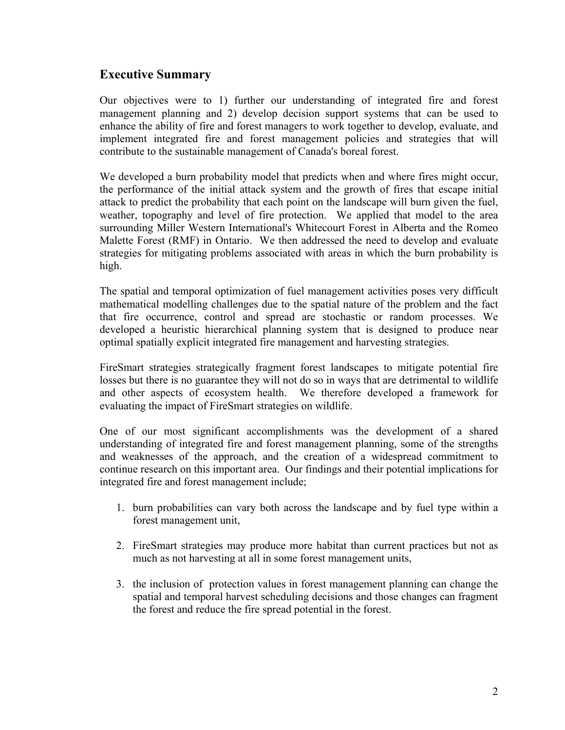# **Executive Summary**

Our objectives were to 1) further our understanding of integrated fire and forest management planning and 2) develop decision support systems that can be used to enhance the ability of fire and forest managers to work together to develop, evaluate, and implement integrated fire and forest management policies and strategies that will contribute to the sustainable management of Canada's boreal forest.

We developed a burn probability model that predicts when and where fires might occur, the performance of the initial attack system and the growth of fires that escape initial attack to predict the probability that each point on the landscape will burn given the fuel, weather, topography and level of fire protection. We applied that model to the area surrounding Miller Western International's Whitecourt Forest in Alberta and the Romeo Malette Forest (RMF) in Ontario. We then addressed the need to develop and evaluate strategies for mitigating problems associated with areas in which the burn probability is high.

The spatial and temporal optimization of fuel management activities poses very difficult mathematical modelling challenges due to the spatial nature of the problem and the fact that fire occurrence, control and spread are stochastic or random processes. We developed a heuristic hierarchical planning system that is designed to produce near optimal spatially explicit integrated fire management and harvesting strategies.

FireSmart strategies strategically fragment forest landscapes to mitigate potential fire losses but there is no guarantee they will not do so in ways that are detrimental to wildlife and other aspects of ecosystem health. We therefore developed a framework for evaluating the impact of FireSmart strategies on wildlife.

One of our most significant accomplishments was the development of a shared understanding of integrated fire and forest management planning, some of the strengths and weaknesses of the approach, and the creation of a widespread commitment to continue research on this important area. Our findings and their potential implications for integrated fire and forest management include;

- 1. burn probabilities can vary both across the landscape and by fuel type within a forest management unit,
- 2. FireSmart strategies may produce more habitat than current practices but not as much as not harvesting at all in some forest management units,
- 3. the inclusion of protection values in forest management planning can change the spatial and temporal harvest scheduling decisions and those changes can fragment the forest and reduce the fire spread potential in the forest.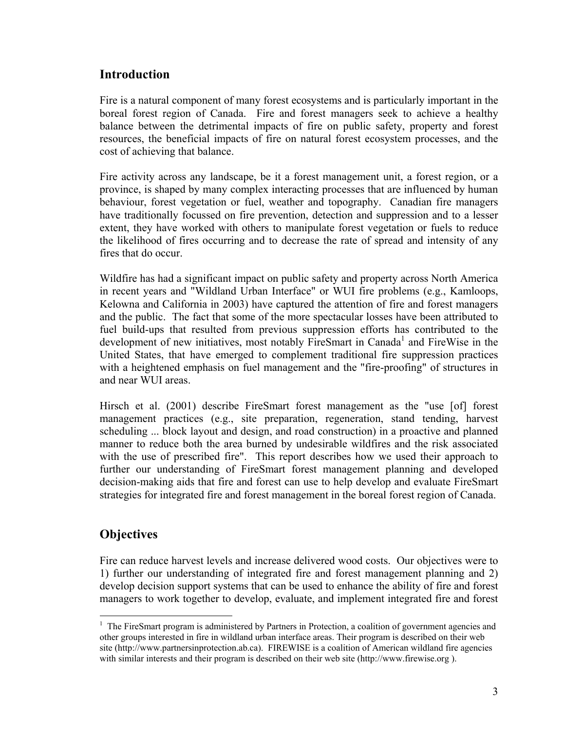# **Introduction**

Fire is a natural component of many forest ecosystems and is particularly important in the boreal forest region of Canada. Fire and forest managers seek to achieve a healthy balance between the detrimental impacts of fire on public safety, property and forest resources, the beneficial impacts of fire on natural forest ecosystem processes, and the cost of achieving that balance.

Fire activity across any landscape, be it a forest management unit, a forest region, or a province, is shaped by many complex interacting processes that are influenced by human behaviour, forest vegetation or fuel, weather and topography. Canadian fire managers have traditionally focussed on fire prevention, detection and suppression and to a lesser extent, they have worked with others to manipulate forest vegetation or fuels to reduce the likelihood of fires occurring and to decrease the rate of spread and intensity of any fires that do occur.

Wildfire has had a significant impact on public safety and property across North America in recent years and "Wildland Urban Interface" or WUI fire problems (e.g., Kamloops, Kelowna and California in 2003) have captured the attention of fire and forest managers and the public. The fact that some of the more spectacular losses have been attributed to fuel build-ups that resulted from previous suppression efforts has contributed to the development of new initiatives, most notably FireSmart in Canada<sup>1</sup> and FireWise in the United States, that have emerged to complement traditional fire suppression practices with a heightened emphasis on fuel management and the "fire-proofing" of structures in and near WUI areas.

Hirsch et al. (2001) describe FireSmart forest management as the "use [of] forest management practices (e.g., site preparation, regeneration, stand tending, harvest scheduling ... block layout and design, and road construction) in a proactive and planned manner to reduce both the area burned by undesirable wildfires and the risk associated with the use of prescribed fire". This report describes how we used their approach to further our understanding of FireSmart forest management planning and developed decision-making aids that fire and forest can use to help develop and evaluate FireSmart strategies for integrated fire and forest management in the boreal forest region of Canada.

# **Objectives**

 $\overline{a}$ 

Fire can reduce harvest levels and increase delivered wood costs. Our objectives were to 1) further our understanding of integrated fire and forest management planning and 2) develop decision support systems that can be used to enhance the ability of fire and forest managers to work together to develop, evaluate, and implement integrated fire and forest

<sup>&</sup>lt;sup>1</sup> The FireSmart program is administered by Partners in Protection, a coalition of government agencies and other groups interested in fire in wildland urban interface areas. Their program is described on their web site (http://www.partnersinprotection.ab.ca). FIREWISE is a coalition of American wildland fire agencies with similar interests and their program is described on their web site (http://www.firewise.org ).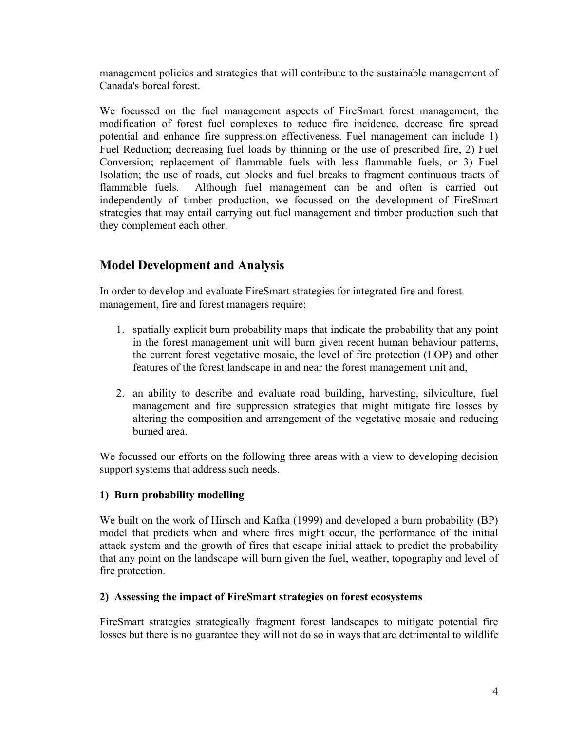management policies and strategies that will contribute to the sustainable management of Canada's boreal forest.

We focussed on the fuel management aspects of FireSmart forest management, the modification of forest fuel complexes to reduce fire incidence, decrease fire spread potential and enhance fire suppression effectiveness. Fuel management can include 1) Fuel Reduction; decreasing fuel loads by thinning or the use of prescribed fire, 2) Fuel Conversion; replacement of flammable fuels with less flammable fuels, or 3) Fuel Isolation; the use of roads, cut blocks and fuel breaks to fragment continuous tracts of flammable fuels. Although fuel management can be and often is carried out independently of timber production, we focussed on the development of FireSmart strategies that may entail carrying out fuel management and timber production such that they complement each other.

# **Model Development and Analysis**

In order to develop and evaluate FireSmart strategies for integrated fire and forest management, fire and forest managers require;

- 1. spatially explicit burn probability maps that indicate the probability that any point in the forest management unit will burn given recent human behaviour patterns, the current forest vegetative mosaic, the level of fire protection (LOP) and other features of the forest landscape in and near the forest management unit and,
- 2. an ability to describe and evaluate road building, harvesting, silviculture, fuel management and fire suppression strategies that might mitigate fire losses by altering the composition and arrangement of the vegetative mosaic and reducing burned area.

We focussed our efforts on the following three areas with a view to developing decision support systems that address such needs.

#### **1) Burn probability modelling**

We built on the work of Hirsch and Kafka (1999) and developed a burn probability (BP) model that predicts when and where fires might occur, the performance of the initial attack system and the growth of fires that escape initial attack to predict the probability that any point on the landscape will burn given the fuel, weather, topography and level of fire protection.

#### **2) Assessing the impact of FireSmart strategies on forest ecosystems**

FireSmart strategies strategically fragment forest landscapes to mitigate potential fire losses but there is no guarantee they will not do so in ways that are detrimental to wildlife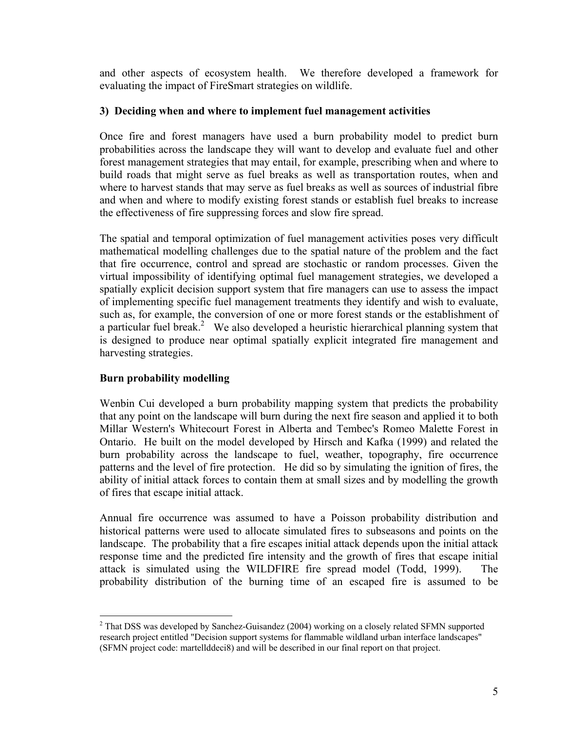and other aspects of ecosystem health. We therefore developed a framework for evaluating the impact of FireSmart strategies on wildlife.

#### **3) Deciding when and where to implement fuel management activities**

Once fire and forest managers have used a burn probability model to predict burn probabilities across the landscape they will want to develop and evaluate fuel and other forest management strategies that may entail, for example, prescribing when and where to build roads that might serve as fuel breaks as well as transportation routes, when and where to harvest stands that may serve as fuel breaks as well as sources of industrial fibre and when and where to modify existing forest stands or establish fuel breaks to increase the effectiveness of fire suppressing forces and slow fire spread.

The spatial and temporal optimization of fuel management activities poses very difficult mathematical modelling challenges due to the spatial nature of the problem and the fact that fire occurrence, control and spread are stochastic or random processes. Given the virtual impossibility of identifying optimal fuel management strategies, we developed a spatially explicit decision support system that fire managers can use to assess the impact of implementing specific fuel management treatments they identify and wish to evaluate, such as, for example, the conversion of one or more forest stands or the establishment of a particular fuel break.<sup>2</sup> We also developed a heuristic hierarchical planning system that is designed to produce near optimal spatially explicit integrated fire management and harvesting strategies.

#### **Burn probability modelling**

Wenbin Cui developed a burn probability mapping system that predicts the probability that any point on the landscape will burn during the next fire season and applied it to both Millar Western's Whitecourt Forest in Alberta and Tembec's Romeo Malette Forest in Ontario. He built on the model developed by Hirsch and Kafka (1999) and related the burn probability across the landscape to fuel, weather, topography, fire occurrence patterns and the level of fire protection. He did so by simulating the ignition of fires, the ability of initial attack forces to contain them at small sizes and by modelling the growth of fires that escape initial attack.

Annual fire occurrence was assumed to have a Poisson probability distribution and historical patterns were used to allocate simulated fires to subseasons and points on the landscape. The probability that a fire escapes initial attack depends upon the initial attack response time and the predicted fire intensity and the growth of fires that escape initial attack is simulated using the WILDFIRE fire spread model (Todd, 1999). The probability distribution of the burning time of an escaped fire is assumed to be

<sup>&</sup>lt;sup>2</sup> That DSS was developed by Sanchez-Guisandez (2004) working on a closely related SFMN supported research project entitled "Decision support systems for flammable wildland urban interface landscapes" (SFMN project code: martellddeci8) and will be described in our final report on that project.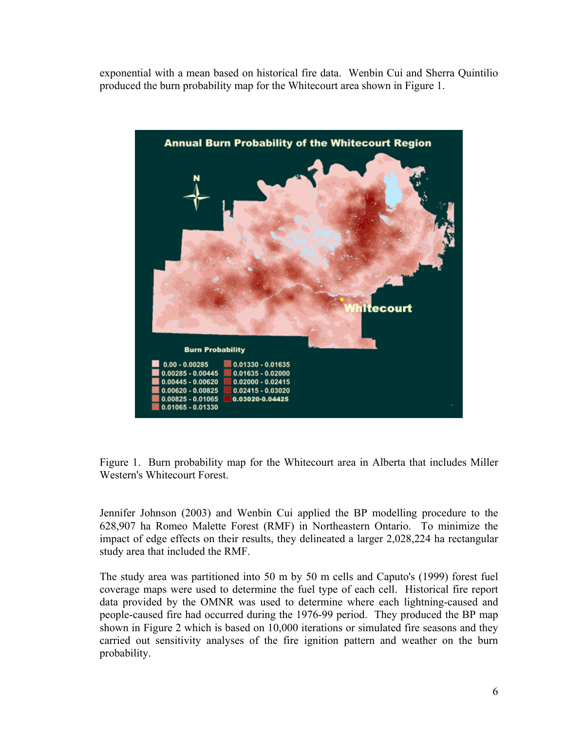exponential with a mean based on historical fire data. Wenbin Cui and Sherra Quintilio produced the burn probability map for the Whitecourt area shown in Figure 1.



Figure 1. Burn probability map for the Whitecourt area in Alberta that includes Miller Western's Whitecourt Forest.

Jennifer Johnson (2003) and Wenbin Cui applied the BP modelling procedure to the 628,907 ha Romeo Malette Forest (RMF) in Northeastern Ontario. To minimize the impact of edge effects on their results, they delineated a larger 2,028,224 ha rectangular study area that included the RMF.

The study area was partitioned into 50 m by 50 m cells and Caputo's (1999) forest fuel coverage maps were used to determine the fuel type of each cell. Historical fire report data provided by the OMNR was used to determine where each lightning-caused and people-caused fire had occurred during the 1976-99 period. They produced the BP map shown in Figure 2 which is based on 10,000 iterations or simulated fire seasons and they carried out sensitivity analyses of the fire ignition pattern and weather on the burn probability.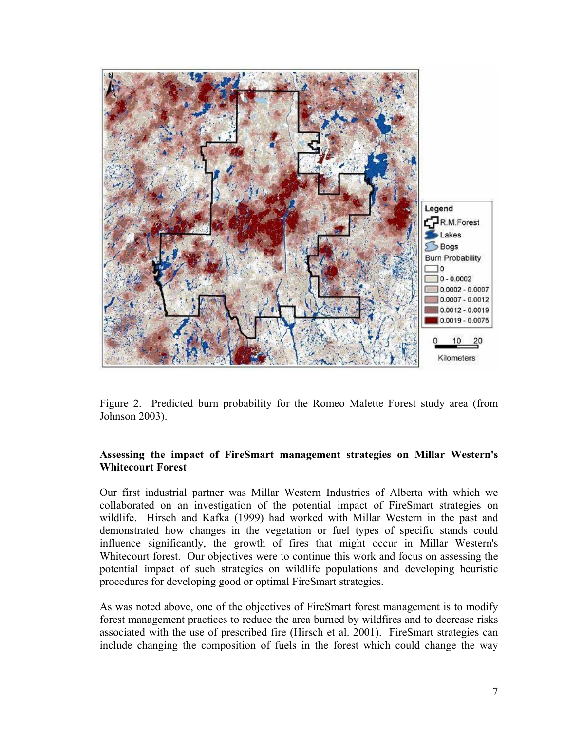

Figure 2. Predicted burn probability for the Romeo Malette Forest study area (from Johnson 2003).

#### **Assessing the impact of FireSmart management strategies on Millar Western's Whitecourt Forest**

Our first industrial partner was Millar Western Industries of Alberta with which we collaborated on an investigation of the potential impact of FireSmart strategies on wildlife. Hirsch and Kafka (1999) had worked with Millar Western in the past and demonstrated how changes in the vegetation or fuel types of specific stands could influence significantly, the growth of fires that might occur in Millar Western's Whitecourt forest. Our objectives were to continue this work and focus on assessing the potential impact of such strategies on wildlife populations and developing heuristic procedures for developing good or optimal FireSmart strategies.

As was noted above, one of the objectives of FireSmart forest management is to modify forest management practices to reduce the area burned by wildfires and to decrease risks associated with the use of prescribed fire (Hirsch et al. 2001). FireSmart strategies can include changing the composition of fuels in the forest which could change the way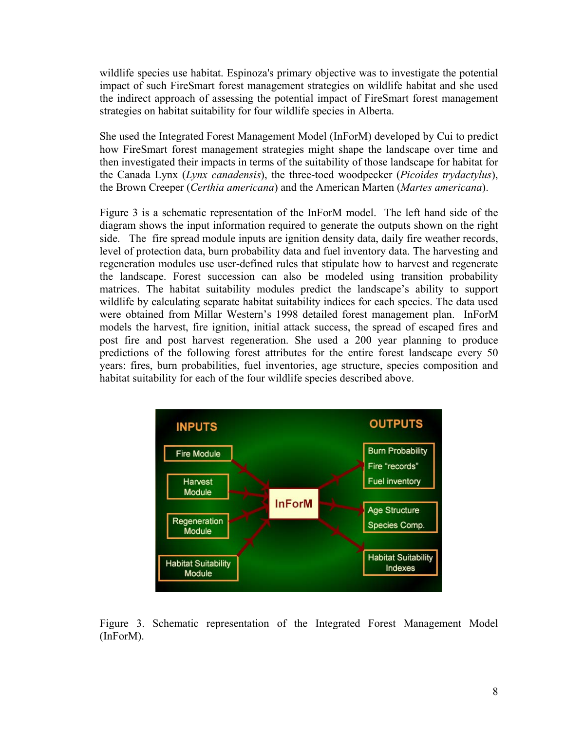wildlife species use habitat. Espinoza's primary objective was to investigate the potential impact of such FireSmart forest management strategies on wildlife habitat and she used the indirect approach of assessing the potential impact of FireSmart forest management strategies on habitat suitability for four wildlife species in Alberta.

She used the Integrated Forest Management Model (InForM) developed by Cui to predict how FireSmart forest management strategies might shape the landscape over time and then investigated their impacts in terms of the suitability of those landscape for habitat for the Canada Lynx (*Lynx canadensis*), the three-toed woodpecker (*Picoides trydactylus*), the Brown Creeper (*Certhia americana*) and the American Marten (*Martes americana*).

Figure 3 is a schematic representation of the InForM model. The left hand side of the diagram shows the input information required to generate the outputs shown on the right side. The fire spread module inputs are ignition density data, daily fire weather records, level of protection data, burn probability data and fuel inventory data. The harvesting and regeneration modules use user-defined rules that stipulate how to harvest and regenerate the landscape. Forest succession can also be modeled using transition probability matrices. The habitat suitability modules predict the landscape's ability to support wildlife by calculating separate habitat suitability indices for each species. The data used were obtained from Millar Western's 1998 detailed forest management plan. InForM models the harvest, fire ignition, initial attack success, the spread of escaped fires and post fire and post harvest regeneration. She used a 200 year planning to produce predictions of the following forest attributes for the entire forest landscape every 50 years: fires, burn probabilities, fuel inventories, age structure, species composition and habitat suitability for each of the four wildlife species described above.



Figure 3. Schematic representation of the Integrated Forest Management Model (InForM).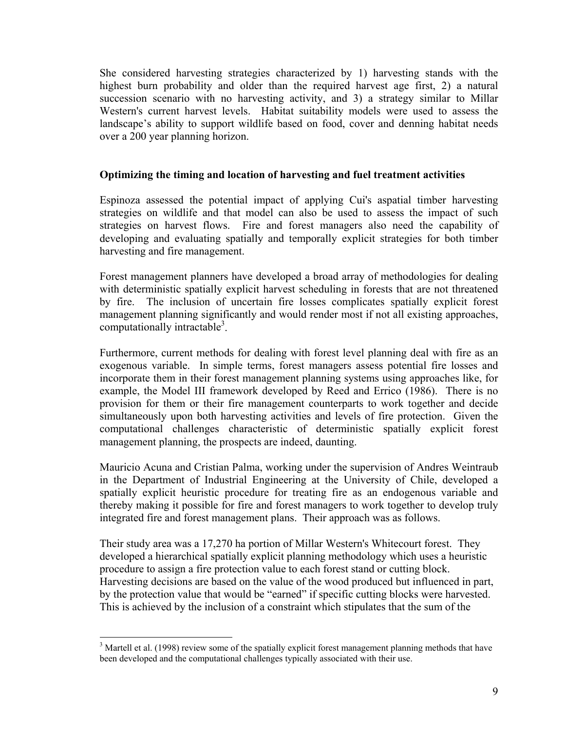She considered harvesting strategies characterized by 1) harvesting stands with the highest burn probability and older than the required harvest age first, 2) a natural succession scenario with no harvesting activity, and 3) a strategy similar to Millar Western's current harvest levels. Habitat suitability models were used to assess the landscape's ability to support wildlife based on food, cover and denning habitat needs over a 200 year planning horizon.

#### **Optimizing the timing and location of harvesting and fuel treatment activities**

Espinoza assessed the potential impact of applying Cui's aspatial timber harvesting strategies on wildlife and that model can also be used to assess the impact of such strategies on harvest flows. Fire and forest managers also need the capability of developing and evaluating spatially and temporally explicit strategies for both timber harvesting and fire management.

Forest management planners have developed a broad array of methodologies for dealing with deterministic spatially explicit harvest scheduling in forests that are not threatened by fire. The inclusion of uncertain fire losses complicates spatially explicit forest management planning significantly and would render most if not all existing approaches, computationally intractable<sup>3</sup>.

Furthermore, current methods for dealing with forest level planning deal with fire as an exogenous variable. In simple terms, forest managers assess potential fire losses and incorporate them in their forest management planning systems using approaches like, for example, the Model III framework developed by Reed and Errico (1986). There is no provision for them or their fire management counterparts to work together and decide simultaneously upon both harvesting activities and levels of fire protection. Given the computational challenges characteristic of deterministic spatially explicit forest management planning, the prospects are indeed, daunting.

Mauricio Acuna and Cristian Palma, working under the supervision of Andres Weintraub in the Department of Industrial Engineering at the University of Chile, developed a spatially explicit heuristic procedure for treating fire as an endogenous variable and thereby making it possible for fire and forest managers to work together to develop truly integrated fire and forest management plans. Their approach was as follows.

Their study area was a 17,270 ha portion of Millar Western's Whitecourt forest. They developed a hierarchical spatially explicit planning methodology which uses a heuristic procedure to assign a fire protection value to each forest stand or cutting block. Harvesting decisions are based on the value of the wood produced but influenced in part, by the protection value that would be "earned" if specific cutting blocks were harvested. This is achieved by the inclusion of a constraint which stipulates that the sum of the

<sup>&</sup>lt;sup>3</sup> Martell et al. (1998) review some of the spatially explicit forest management planning methods that have been developed and the computational challenges typically associated with their use.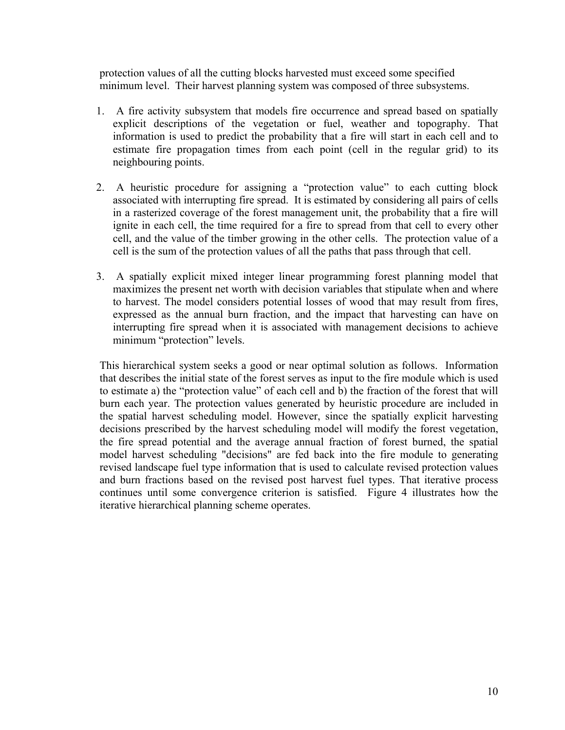protection values of all the cutting blocks harvested must exceed some specified minimum level. Their harvest planning system was composed of three subsystems.

- 1. A fire activity subsystem that models fire occurrence and spread based on spatially explicit descriptions of the vegetation or fuel, weather and topography. That information is used to predict the probability that a fire will start in each cell and to estimate fire propagation times from each point (cell in the regular grid) to its neighbouring points.
- 2. A heuristic procedure for assigning a "protection value" to each cutting block associated with interrupting fire spread. It is estimated by considering all pairs of cells in a rasterized coverage of the forest management unit, the probability that a fire will ignite in each cell, the time required for a fire to spread from that cell to every other cell, and the value of the timber growing in the other cells. The protection value of a cell is the sum of the protection values of all the paths that pass through that cell.
- 3. A spatially explicit mixed integer linear programming forest planning model that maximizes the present net worth with decision variables that stipulate when and where to harvest. The model considers potential losses of wood that may result from fires, expressed as the annual burn fraction, and the impact that harvesting can have on interrupting fire spread when it is associated with management decisions to achieve minimum "protection" levels.

This hierarchical system seeks a good or near optimal solution as follows. Information that describes the initial state of the forest serves as input to the fire module which is used to estimate a) the "protection value" of each cell and b) the fraction of the forest that will burn each year. The protection values generated by heuristic procedure are included in the spatial harvest scheduling model. However, since the spatially explicit harvesting decisions prescribed by the harvest scheduling model will modify the forest vegetation, the fire spread potential and the average annual fraction of forest burned, the spatial model harvest scheduling "decisions" are fed back into the fire module to generating revised landscape fuel type information that is used to calculate revised protection values and burn fractions based on the revised post harvest fuel types. That iterative process continues until some convergence criterion is satisfied. Figure 4 illustrates how the iterative hierarchical planning scheme operates.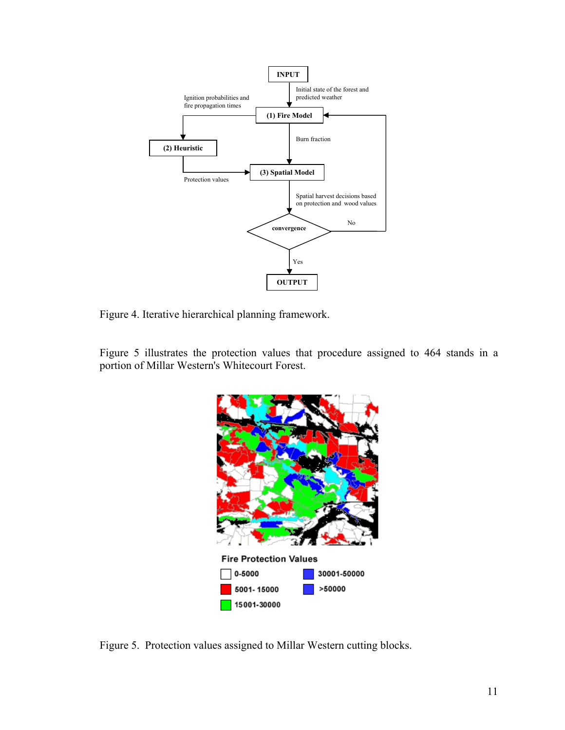

Figure 4. Iterative hierarchical planning framework.

Figure 5 illustrates the protection values that procedure assigned to 464 stands in a portion of Millar Western's Whitecourt Forest.



Figure 5. Protection values assigned to Millar Western cutting blocks.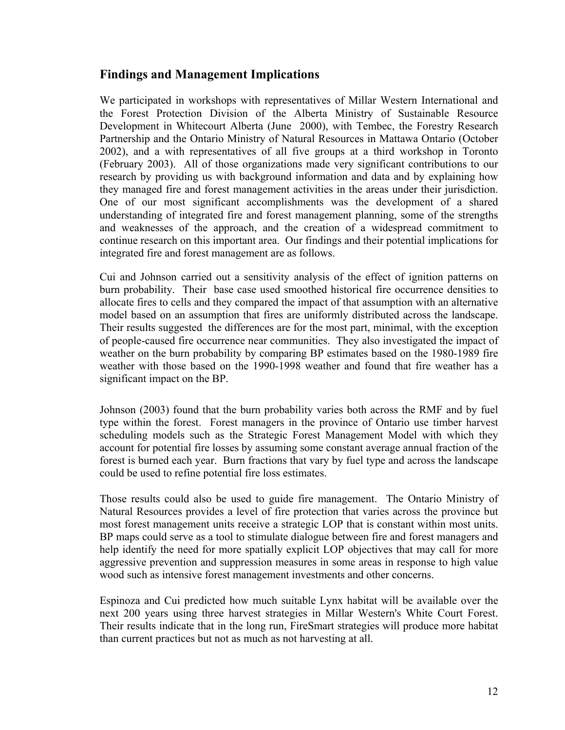## **Findings and Management Implications**

We participated in workshops with representatives of Millar Western International and the Forest Protection Division of the Alberta Ministry of Sustainable Resource Development in Whitecourt Alberta (June 2000), with Tembec, the Forestry Research Partnership and the Ontario Ministry of Natural Resources in Mattawa Ontario (October 2002), and a with representatives of all five groups at a third workshop in Toronto (February 2003). All of those organizations made very significant contributions to our research by providing us with background information and data and by explaining how they managed fire and forest management activities in the areas under their jurisdiction. One of our most significant accomplishments was the development of a shared understanding of integrated fire and forest management planning, some of the strengths and weaknesses of the approach, and the creation of a widespread commitment to continue research on this important area. Our findings and their potential implications for integrated fire and forest management are as follows.

Cui and Johnson carried out a sensitivity analysis of the effect of ignition patterns on burn probability. Their base case used smoothed historical fire occurrence densities to allocate fires to cells and they compared the impact of that assumption with an alternative model based on an assumption that fires are uniformly distributed across the landscape. Their results suggested the differences are for the most part, minimal, with the exception of people-caused fire occurrence near communities. They also investigated the impact of weather on the burn probability by comparing BP estimates based on the 1980-1989 fire weather with those based on the 1990-1998 weather and found that fire weather has a significant impact on the BP.

Johnson (2003) found that the burn probability varies both across the RMF and by fuel type within the forest. Forest managers in the province of Ontario use timber harvest scheduling models such as the Strategic Forest Management Model with which they account for potential fire losses by assuming some constant average annual fraction of the forest is burned each year. Burn fractions that vary by fuel type and across the landscape could be used to refine potential fire loss estimates.

Those results could also be used to guide fire management. The Ontario Ministry of Natural Resources provides a level of fire protection that varies across the province but most forest management units receive a strategic LOP that is constant within most units. BP maps could serve as a tool to stimulate dialogue between fire and forest managers and help identify the need for more spatially explicit LOP objectives that may call for more aggressive prevention and suppression measures in some areas in response to high value wood such as intensive forest management investments and other concerns.

Espinoza and Cui predicted how much suitable Lynx habitat will be available over the next 200 years using three harvest strategies in Millar Western's White Court Forest. Their results indicate that in the long run, FireSmart strategies will produce more habitat than current practices but not as much as not harvesting at all.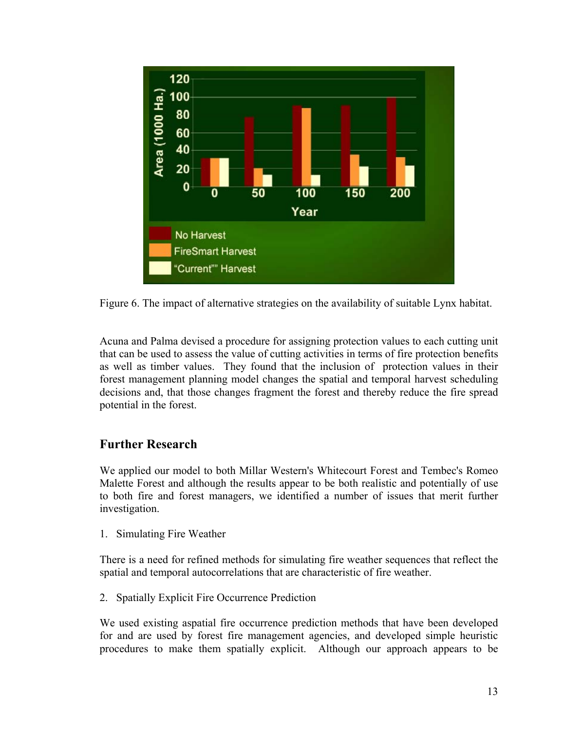

Figure 6. The impact of alternative strategies on the availability of suitable Lynx habitat.

Acuna and Palma devised a procedure for assigning protection values to each cutting unit that can be used to assess the value of cutting activities in terms of fire protection benefits as well as timber values. They found that the inclusion of protection values in their forest management planning model changes the spatial and temporal harvest scheduling decisions and, that those changes fragment the forest and thereby reduce the fire spread potential in the forest.

# **Further Research**

We applied our model to both Millar Western's Whitecourt Forest and Tembec's Romeo Malette Forest and although the results appear to be both realistic and potentially of use to both fire and forest managers, we identified a number of issues that merit further investigation.

1. Simulating Fire Weather

There is a need for refined methods for simulating fire weather sequences that reflect the spatial and temporal autocorrelations that are characteristic of fire weather.

2. Spatially Explicit Fire Occurrence Prediction

We used existing aspatial fire occurrence prediction methods that have been developed for and are used by forest fire management agencies, and developed simple heuristic procedures to make them spatially explicit. Although our approach appears to be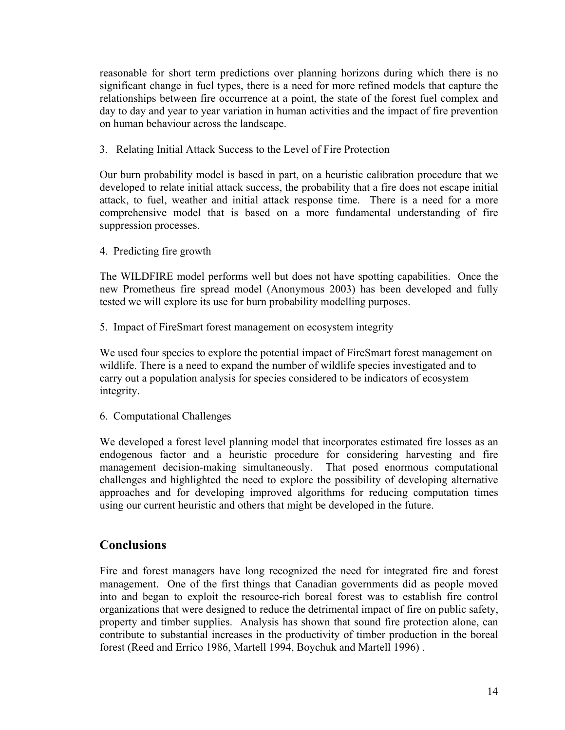reasonable for short term predictions over planning horizons during which there is no significant change in fuel types, there is a need for more refined models that capture the relationships between fire occurrence at a point, the state of the forest fuel complex and day to day and year to year variation in human activities and the impact of fire prevention on human behaviour across the landscape.

3. Relating Initial Attack Success to the Level of Fire Protection

Our burn probability model is based in part, on a heuristic calibration procedure that we developed to relate initial attack success, the probability that a fire does not escape initial attack, to fuel, weather and initial attack response time. There is a need for a more comprehensive model that is based on a more fundamental understanding of fire suppression processes.

4. Predicting fire growth

The WILDFIRE model performs well but does not have spotting capabilities. Once the new Prometheus fire spread model (Anonymous 2003) has been developed and fully tested we will explore its use for burn probability modelling purposes.

5. Impact of FireSmart forest management on ecosystem integrity

We used four species to explore the potential impact of FireSmart forest management on wildlife. There is a need to expand the number of wildlife species investigated and to carry out a population analysis for species considered to be indicators of ecosystem integrity.

6. Computational Challenges

We developed a forest level planning model that incorporates estimated fire losses as an endogenous factor and a heuristic procedure for considering harvesting and fire management decision-making simultaneously. That posed enormous computational challenges and highlighted the need to explore the possibility of developing alternative approaches and for developing improved algorithms for reducing computation times using our current heuristic and others that might be developed in the future.

### **Conclusions**

Fire and forest managers have long recognized the need for integrated fire and forest management. One of the first things that Canadian governments did as people moved into and began to exploit the resource-rich boreal forest was to establish fire control organizations that were designed to reduce the detrimental impact of fire on public safety, property and timber supplies. Analysis has shown that sound fire protection alone, can contribute to substantial increases in the productivity of timber production in the boreal forest (Reed and Errico 1986, Martell 1994, Boychuk and Martell 1996) .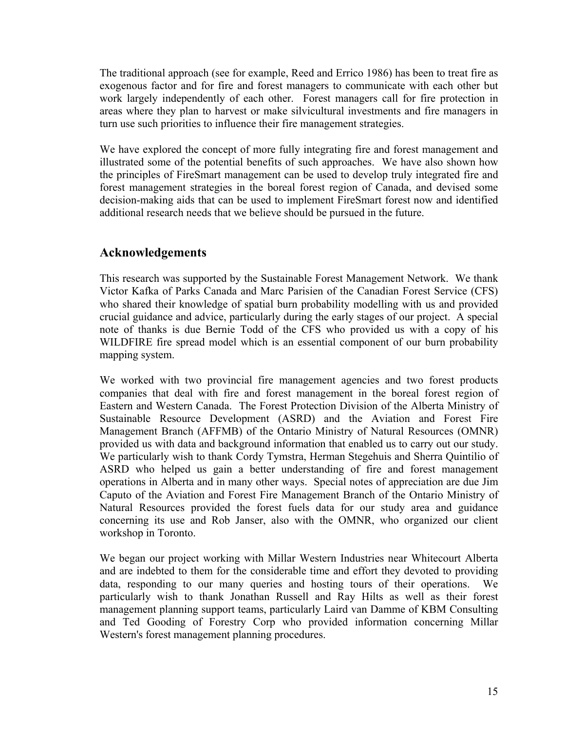The traditional approach (see for example, Reed and Errico 1986) has been to treat fire as exogenous factor and for fire and forest managers to communicate with each other but work largely independently of each other. Forest managers call for fire protection in areas where they plan to harvest or make silvicultural investments and fire managers in turn use such priorities to influence their fire management strategies.

We have explored the concept of more fully integrating fire and forest management and illustrated some of the potential benefits of such approaches. We have also shown how the principles of FireSmart management can be used to develop truly integrated fire and forest management strategies in the boreal forest region of Canada, and devised some decision-making aids that can be used to implement FireSmart forest now and identified additional research needs that we believe should be pursued in the future.

### **Acknowledgements**

This research was supported by the Sustainable Forest Management Network. We thank Victor Kafka of Parks Canada and Marc Parisien of the Canadian Forest Service (CFS) who shared their knowledge of spatial burn probability modelling with us and provided crucial guidance and advice, particularly during the early stages of our project. A special note of thanks is due Bernie Todd of the CFS who provided us with a copy of his WILDFIRE fire spread model which is an essential component of our burn probability mapping system.

We worked with two provincial fire management agencies and two forest products companies that deal with fire and forest management in the boreal forest region of Eastern and Western Canada. The Forest Protection Division of the Alberta Ministry of Sustainable Resource Development (ASRD) and the Aviation and Forest Fire Management Branch (AFFMB) of the Ontario Ministry of Natural Resources (OMNR) provided us with data and background information that enabled us to carry out our study. We particularly wish to thank Cordy Tymstra, Herman Stegehuis and Sherra Quintilio of ASRD who helped us gain a better understanding of fire and forest management operations in Alberta and in many other ways. Special notes of appreciation are due Jim Caputo of the Aviation and Forest Fire Management Branch of the Ontario Ministry of Natural Resources provided the forest fuels data for our study area and guidance concerning its use and Rob Janser, also with the OMNR, who organized our client workshop in Toronto.

We began our project working with Millar Western Industries near Whitecourt Alberta and are indebted to them for the considerable time and effort they devoted to providing data, responding to our many queries and hosting tours of their operations. We particularly wish to thank Jonathan Russell and Ray Hilts as well as their forest management planning support teams, particularly Laird van Damme of KBM Consulting and Ted Gooding of Forestry Corp who provided information concerning Millar Western's forest management planning procedures.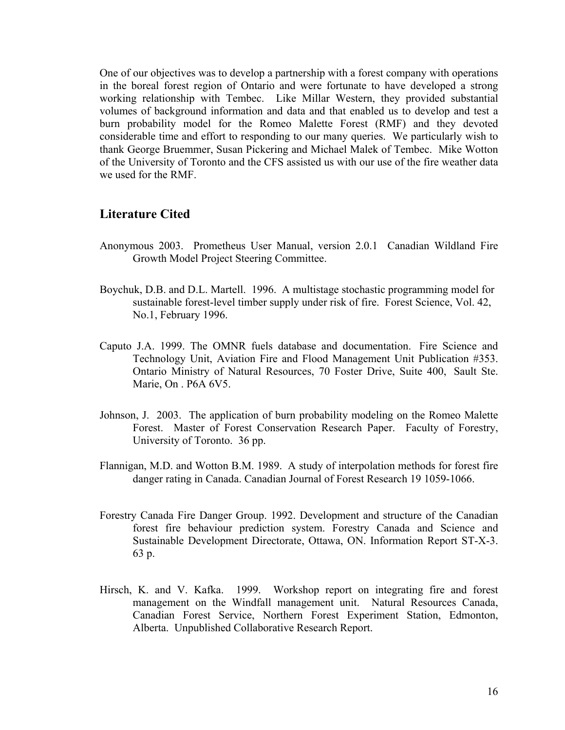One of our objectives was to develop a partnership with a forest company with operations in the boreal forest region of Ontario and were fortunate to have developed a strong working relationship with Tembec. Like Millar Western, they provided substantial volumes of background information and data and that enabled us to develop and test a burn probability model for the Romeo Malette Forest (RMF) and they devoted considerable time and effort to responding to our many queries. We particularly wish to thank George Bruemmer, Susan Pickering and Michael Malek of Tembec. Mike Wotton of the University of Toronto and the CFS assisted us with our use of the fire weather data we used for the RMF.

#### **Literature Cited**

- Anonymous 2003. Prometheus User Manual, version 2.0.1 Canadian Wildland Fire Growth Model Project Steering Committee.
- Boychuk, D.B. and D.L. Martell. 1996. A multistage stochastic programming model for sustainable forest-level timber supply under risk of fire. Forest Science, Vol. 42, No.1, February 1996.
- Caputo J.A. 1999. The OMNR fuels database and documentation. Fire Science and Technology Unit, Aviation Fire and Flood Management Unit Publication #353. Ontario Ministry of Natural Resources, 70 Foster Drive, Suite 400, Sault Ste. Marie, On . P6A 6V5.
- Johnson, J. 2003. The application of burn probability modeling on the Romeo Malette Forest. Master of Forest Conservation Research Paper. Faculty of Forestry, University of Toronto. 36 pp.
- Flannigan, M.D. and Wotton B.M. 1989. A study of interpolation methods for forest fire danger rating in Canada. Canadian Journal of Forest Research 19 1059-1066.
- Forestry Canada Fire Danger Group. 1992. Development and structure of the Canadian forest fire behaviour prediction system. Forestry Canada and Science and Sustainable Development Directorate, Ottawa, ON. Information Report ST-X-3. 63 p.
- Hirsch, K. and V. Kafka. 1999. Workshop report on integrating fire and forest management on the Windfall management unit. Natural Resources Canada, Canadian Forest Service, Northern Forest Experiment Station, Edmonton, Alberta. Unpublished Collaborative Research Report.